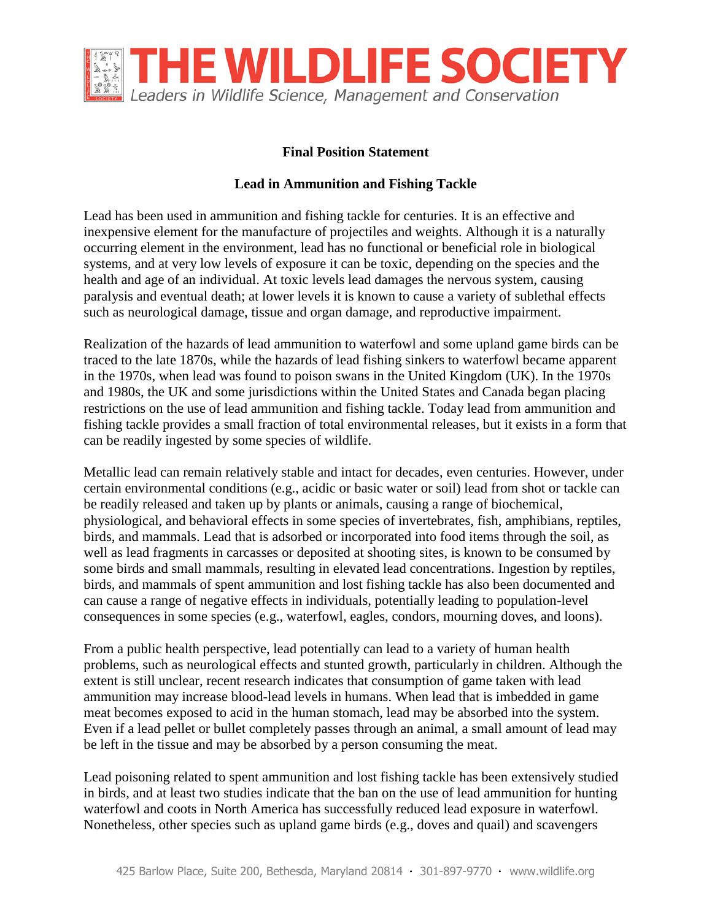

## **Final Position Statement**

## **Lead in Ammunition and Fishing Tackle**

Lead has been used in ammunition and fishing tackle for centuries. It is an effective and inexpensive element for the manufacture of projectiles and weights. Although it is a naturally occurring element in the environment, lead has no functional or beneficial role in biological systems, and at very low levels of exposure it can be toxic, depending on the species and the health and age of an individual. At toxic levels lead damages the nervous system, causing paralysis and eventual death; at lower levels it is known to cause a variety of sublethal effects such as neurological damage, tissue and organ damage, and reproductive impairment.

Realization of the hazards of lead ammunition to waterfowl and some upland game birds can be traced to the late 1870s, while the hazards of lead fishing sinkers to waterfowl became apparent in the 1970s, when lead was found to poison swans in the United Kingdom (UK). In the 1970s and 1980s, the UK and some jurisdictions within the United States and Canada began placing restrictions on the use of lead ammunition and fishing tackle. Today lead from ammunition and fishing tackle provides a small fraction of total environmental releases, but it exists in a form that can be readily ingested by some species of wildlife.

Metallic lead can remain relatively stable and intact for decades, even centuries. However, under certain environmental conditions (e.g., acidic or basic water or soil) lead from shot or tackle can be readily released and taken up by plants or animals, causing a range of biochemical, physiological, and behavioral effects in some species of invertebrates, fish, amphibians, reptiles, birds, and mammals. Lead that is adsorbed or incorporated into food items through the soil, as well as lead fragments in carcasses or deposited at shooting sites, is known to be consumed by some birds and small mammals, resulting in elevated lead concentrations. Ingestion by reptiles, birds, and mammals of spent ammunition and lost fishing tackle has also been documented and can cause a range of negative effects in individuals, potentially leading to population-level consequences in some species (e.g., waterfowl, eagles, condors, mourning doves, and loons).

From a public health perspective, lead potentially can lead to a variety of human health problems, such as neurological effects and stunted growth, particularly in children. Although the extent is still unclear, recent research indicates that consumption of game taken with lead ammunition may increase blood-lead levels in humans. When lead that is imbedded in game meat becomes exposed to acid in the human stomach, lead may be absorbed into the system. Even if a lead pellet or bullet completely passes through an animal, a small amount of lead may be left in the tissue and may be absorbed by a person consuming the meat.

Lead poisoning related to spent ammunition and lost fishing tackle has been extensively studied in birds, and at least two studies indicate that the ban on the use of lead ammunition for hunting waterfowl and coots in North America has successfully reduced lead exposure in waterfowl. Nonetheless, other species such as upland game birds (e.g., doves and quail) and scavengers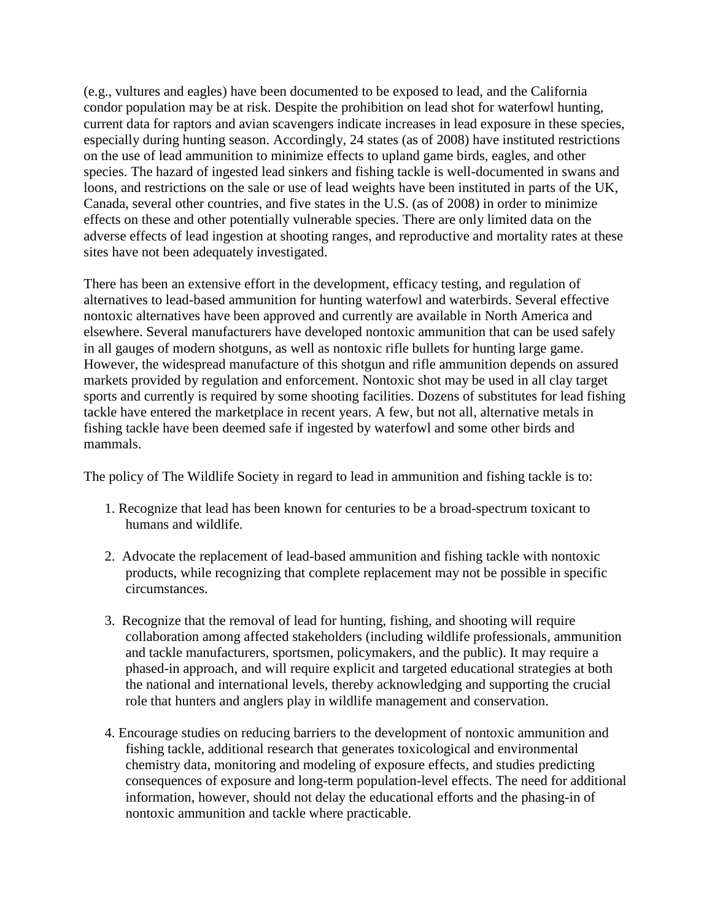(e.g., vultures and eagles) have been documented to be exposed to lead, and the California condor population may be at risk. Despite the prohibition on lead shot for waterfowl hunting, current data for raptors and avian scavengers indicate increases in lead exposure in these species, especially during hunting season. Accordingly, 24 states (as of 2008) have instituted restrictions on the use of lead ammunition to minimize effects to upland game birds, eagles, and other species. The hazard of ingested lead sinkers and fishing tackle is well-documented in swans and loons, and restrictions on the sale or use of lead weights have been instituted in parts of the UK, Canada, several other countries, and five states in the U.S. (as of 2008) in order to minimize effects on these and other potentially vulnerable species. There are only limited data on the adverse effects of lead ingestion at shooting ranges, and reproductive and mortality rates at these sites have not been adequately investigated.

There has been an extensive effort in the development, efficacy testing, and regulation of alternatives to lead-based ammunition for hunting waterfowl and waterbirds. Several effective nontoxic alternatives have been approved and currently are available in North America and elsewhere. Several manufacturers have developed nontoxic ammunition that can be used safely in all gauges of modern shotguns, as well as nontoxic rifle bullets for hunting large game. However, the widespread manufacture of this shotgun and rifle ammunition depends on assured markets provided by regulation and enforcement. Nontoxic shot may be used in all clay target sports and currently is required by some shooting facilities. Dozens of substitutes for lead fishing tackle have entered the marketplace in recent years. A few, but not all, alternative metals in fishing tackle have been deemed safe if ingested by waterfowl and some other birds and mammals.

The policy of The Wildlife Society in regard to lead in ammunition and fishing tackle is to:

- 1. Recognize that lead has been known for centuries to be a broad-spectrum toxicant to humans and wildlife.
- 2. Advocate the replacement of lead-based ammunition and fishing tackle with nontoxic products, while recognizing that complete replacement may not be possible in specific circumstances.
- 3. Recognize that the removal of lead for hunting, fishing, and shooting will require collaboration among affected stakeholders (including wildlife professionals, ammunition and tackle manufacturers, sportsmen, policymakers, and the public). It may require a phased-in approach, and will require explicit and targeted educational strategies at both the national and international levels, thereby acknowledging and supporting the crucial role that hunters and anglers play in wildlife management and conservation.
- 4. Encourage studies on reducing barriers to the development of nontoxic ammunition and fishing tackle, additional research that generates toxicological and environmental chemistry data, monitoring and modeling of exposure effects, and studies predicting consequences of exposure and long-term population-level effects. The need for additional information, however, should not delay the educational efforts and the phasing-in of nontoxic ammunition and tackle where practicable.